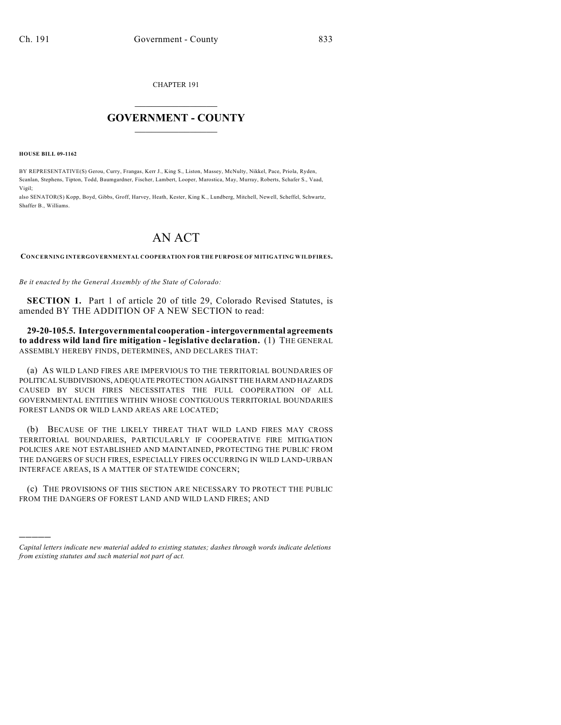CHAPTER 191

## $\mathcal{L}_\text{max}$  . The set of the set of the set of the set of the set of the set of the set of the set of the set of the set of the set of the set of the set of the set of the set of the set of the set of the set of the set **GOVERNMENT - COUNTY**  $\_$

**HOUSE BILL 09-1162**

)))))

BY REPRESENTATIVE(S) Gerou, Curry, Frangas, Kerr J., King S., Liston, Massey, McNulty, Nikkel, Pace, Priola, Ryden, Scanlan, Stephens, Tipton, Todd, Baumgardner, Fischer, Lambert, Looper, Marostica, May, Murray, Roberts, Schafer S., Vaad, Vigil;

also SENATOR(S) Kopp, Boyd, Gibbs, Groff, Harvey, Heath, Kester, King K., Lundberg, Mitchell, Newell, Scheffel, Schwartz, Shaffer B., Williams.

## AN ACT

**CONCERNING INTERGOVERNMENTAL COOPERATION FOR THE PURPOSE OF MITIGATING WILDFIRES.**

*Be it enacted by the General Assembly of the State of Colorado:*

**SECTION 1.** Part 1 of article 20 of title 29, Colorado Revised Statutes, is amended BY THE ADDITION OF A NEW SECTION to read:

**29-20-105.5. Intergovernmental cooperation - intergovernmental agreements to address wild land fire mitigation - legislative declaration.** (1) THE GENERAL ASSEMBLY HEREBY FINDS, DETERMINES, AND DECLARES THAT:

(a) AS WILD LAND FIRES ARE IMPERVIOUS TO THE TERRITORIAL BOUNDARIES OF POLITICAL SUBDIVISIONS, ADEQUATE PROTECTION AGAINST THE HARM AND HAZARDS CAUSED BY SUCH FIRES NECESSITATES THE FULL COOPERATION OF ALL GOVERNMENTAL ENTITIES WITHIN WHOSE CONTIGUOUS TERRITORIAL BOUNDARIES FOREST LANDS OR WILD LAND AREAS ARE LOCATED;

(b) BECAUSE OF THE LIKELY THREAT THAT WILD LAND FIRES MAY CROSS TERRITORIAL BOUNDARIES, PARTICULARLY IF COOPERATIVE FIRE MITIGATION POLICIES ARE NOT ESTABLISHED AND MAINTAINED, PROTECTING THE PUBLIC FROM THE DANGERS OF SUCH FIRES, ESPECIALLY FIRES OCCURRING IN WILD LAND-URBAN INTERFACE AREAS, IS A MATTER OF STATEWIDE CONCERN;

(c) THE PROVISIONS OF THIS SECTION ARE NECESSARY TO PROTECT THE PUBLIC FROM THE DANGERS OF FOREST LAND AND WILD LAND FIRES; AND

*Capital letters indicate new material added to existing statutes; dashes through words indicate deletions from existing statutes and such material not part of act.*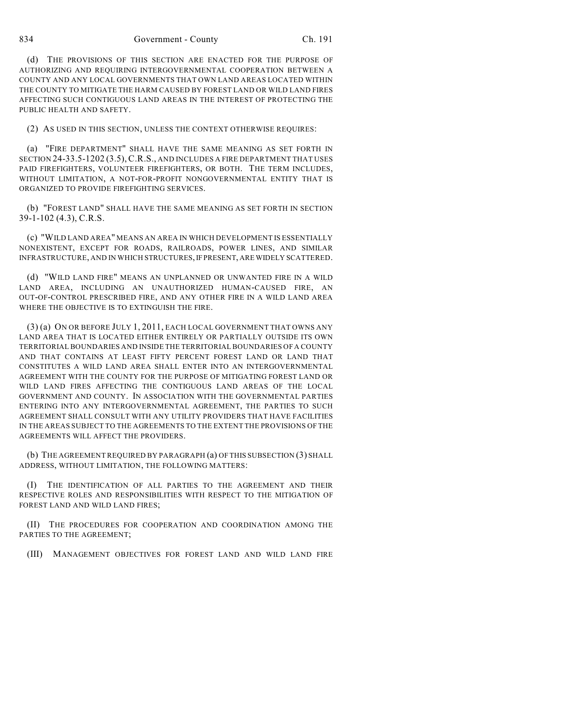834 Government - County Ch. 191

(d) THE PROVISIONS OF THIS SECTION ARE ENACTED FOR THE PURPOSE OF AUTHORIZING AND REQUIRING INTERGOVERNMENTAL COOPERATION BETWEEN A COUNTY AND ANY LOCAL GOVERNMENTS THAT OWN LAND AREAS LOCATED WITHIN THE COUNTY TO MITIGATE THE HARM CAUSED BY FOREST LAND OR WILD LAND FIRES AFFECTING SUCH CONTIGUOUS LAND AREAS IN THE INTEREST OF PROTECTING THE PUBLIC HEALTH AND SAFETY.

(2) AS USED IN THIS SECTION, UNLESS THE CONTEXT OTHERWISE REQUIRES:

(a) "FIRE DEPARTMENT" SHALL HAVE THE SAME MEANING AS SET FORTH IN SECTION 24-33.5-1202 (3.5), C.R.S., AND INCLUDES A FIRE DEPARTMENT THAT USES PAID FIREFIGHTERS, VOLUNTEER FIREFIGHTERS, OR BOTH. THE TERM INCLUDES, WITHOUT LIMITATION, A NOT-FOR-PROFIT NONGOVERNMENTAL ENTITY THAT IS ORGANIZED TO PROVIDE FIREFIGHTING SERVICES.

(b) "FOREST LAND" SHALL HAVE THE SAME MEANING AS SET FORTH IN SECTION 39-1-102 (4.3), C.R.S.

(c) "WILD LAND AREA" MEANS AN AREA IN WHICH DEVELOPMENT IS ESSENTIALLY NONEXISTENT, EXCEPT FOR ROADS, RAILROADS, POWER LINES, AND SIMILAR INFRASTRUCTURE, AND IN WHICH STRUCTURES, IF PRESENT, ARE WIDELY SCATTERED.

(d) "WILD LAND FIRE" MEANS AN UNPLANNED OR UNWANTED FIRE IN A WILD LAND AREA, INCLUDING AN UNAUTHORIZED HUMAN-CAUSED FIRE, AN OUT-OF-CONTROL PRESCRIBED FIRE, AND ANY OTHER FIRE IN A WILD LAND AREA WHERE THE OBJECTIVE IS TO EXTINGUISH THE FIRE.

(3) (a) ON OR BEFORE JULY 1, 2011, EACH LOCAL GOVERNMENT THAT OWNS ANY LAND AREA THAT IS LOCATED EITHER ENTIRELY OR PARTIALLY OUTSIDE ITS OWN TERRITORIAL BOUNDARIES AND INSIDE THE TERRITORIAL BOUNDARIES OF A COUNTY AND THAT CONTAINS AT LEAST FIFTY PERCENT FOREST LAND OR LAND THAT CONSTITUTES A WILD LAND AREA SHALL ENTER INTO AN INTERGOVERNMENTAL AGREEMENT WITH THE COUNTY FOR THE PURPOSE OF MITIGATING FOREST LAND OR WILD LAND FIRES AFFECTING THE CONTIGUOUS LAND AREAS OF THE LOCAL GOVERNMENT AND COUNTY. IN ASSOCIATION WITH THE GOVERNMENTAL PARTIES ENTERING INTO ANY INTERGOVERNMENTAL AGREEMENT, THE PARTIES TO SUCH AGREEMENT SHALL CONSULT WITH ANY UTILITY PROVIDERS THAT HAVE FACILITIES IN THE AREAS SUBJECT TO THE AGREEMENTS TO THE EXTENT THE PROVISIONS OF THE AGREEMENTS WILL AFFECT THE PROVIDERS.

(b) THE AGREEMENT REQUIRED BY PARAGRAPH (a) OF THIS SUBSECTION (3) SHALL ADDRESS, WITHOUT LIMITATION, THE FOLLOWING MATTERS:

(I) THE IDENTIFICATION OF ALL PARTIES TO THE AGREEMENT AND THEIR RESPECTIVE ROLES AND RESPONSIBILITIES WITH RESPECT TO THE MITIGATION OF FOREST LAND AND WILD LAND FIRES;

(II) THE PROCEDURES FOR COOPERATION AND COORDINATION AMONG THE PARTIES TO THE AGREEMENT;

(III) MANAGEMENT OBJECTIVES FOR FOREST LAND AND WILD LAND FIRE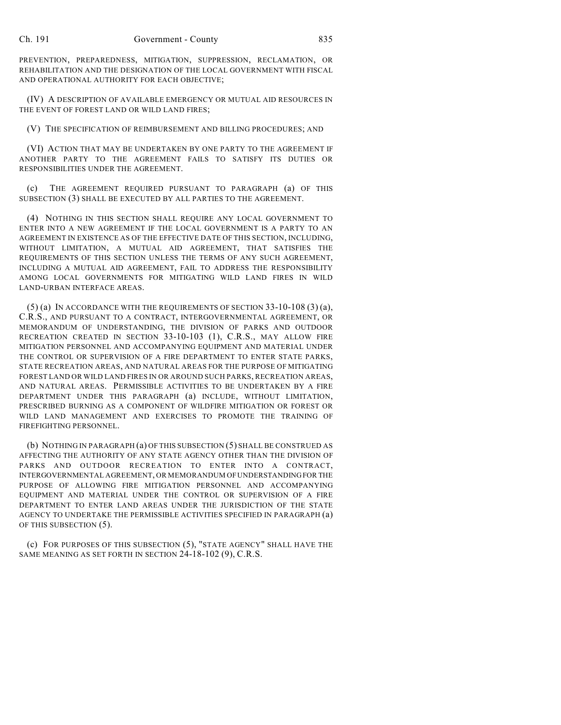PREVENTION, PREPAREDNESS, MITIGATION, SUPPRESSION, RECLAMATION, OR REHABILITATION AND THE DESIGNATION OF THE LOCAL GOVERNMENT WITH FISCAL AND OPERATIONAL AUTHORITY FOR EACH OBJECTIVE;

(IV) A DESCRIPTION OF AVAILABLE EMERGENCY OR MUTUAL AID RESOURCES IN THE EVENT OF FOREST LAND OR WILD LAND FIRES;

(V) THE SPECIFICATION OF REIMBURSEMENT AND BILLING PROCEDURES; AND

(VI) ACTION THAT MAY BE UNDERTAKEN BY ONE PARTY TO THE AGREEMENT IF ANOTHER PARTY TO THE AGREEMENT FAILS TO SATISFY ITS DUTIES OR RESPONSIBILITIES UNDER THE AGREEMENT.

(c) THE AGREEMENT REQUIRED PURSUANT TO PARAGRAPH (a) OF THIS SUBSECTION (3) SHALL BE EXECUTED BY ALL PARTIES TO THE AGREEMENT.

(4) NOTHING IN THIS SECTION SHALL REQUIRE ANY LOCAL GOVERNMENT TO ENTER INTO A NEW AGREEMENT IF THE LOCAL GOVERNMENT IS A PARTY TO AN AGREEMENT IN EXISTENCE AS OF THE EFFECTIVE DATE OF THIS SECTION, INCLUDING, WITHOUT LIMITATION, A MUTUAL AID AGREEMENT, THAT SATISFIES THE REQUIREMENTS OF THIS SECTION UNLESS THE TERMS OF ANY SUCH AGREEMENT, INCLUDING A MUTUAL AID AGREEMENT, FAIL TO ADDRESS THE RESPONSIBILITY AMONG LOCAL GOVERNMENTS FOR MITIGATING WILD LAND FIRES IN WILD LAND-URBAN INTERFACE AREAS.

 $(5)$  (a) IN ACCORDANCE WITH THE REQUIREMENTS OF SECTION  $33-10-108$   $(3)$  (a), C.R.S., AND PURSUANT TO A CONTRACT, INTERGOVERNMENTAL AGREEMENT, OR MEMORANDUM OF UNDERSTANDING, THE DIVISION OF PARKS AND OUTDOOR RECREATION CREATED IN SECTION 33-10-103 (1), C.R.S., MAY ALLOW FIRE MITIGATION PERSONNEL AND ACCOMPANYING EQUIPMENT AND MATERIAL UNDER THE CONTROL OR SUPERVISION OF A FIRE DEPARTMENT TO ENTER STATE PARKS, STATE RECREATION AREAS, AND NATURAL AREAS FOR THE PURPOSE OF MITIGATING FOREST LAND OR WILD LAND FIRES IN OR AROUND SUCH PARKS, RECREATION AREAS, AND NATURAL AREAS. PERMISSIBLE ACTIVITIES TO BE UNDERTAKEN BY A FIRE DEPARTMENT UNDER THIS PARAGRAPH (a) INCLUDE, WITHOUT LIMITATION, PRESCRIBED BURNING AS A COMPONENT OF WILDFIRE MITIGATION OR FOREST OR WILD LAND MANAGEMENT AND EXERCISES TO PROMOTE THE TRAINING OF FIREFIGHTING PERSONNEL.

(b) NOTHING IN PARAGRAPH (a) OF THIS SUBSECTION (5) SHALL BE CONSTRUED AS AFFECTING THE AUTHORITY OF ANY STATE AGENCY OTHER THAN THE DIVISION OF PARKS AND OUTDOOR RECREATION TO ENTER INTO A CONTRACT, INTERGOVERNMENTAL AGREEMENT, OR MEMORANDUM OF UNDERSTANDING FOR THE PURPOSE OF ALLOWING FIRE MITIGATION PERSONNEL AND ACCOMPANYING EQUIPMENT AND MATERIAL UNDER THE CONTROL OR SUPERVISION OF A FIRE DEPARTMENT TO ENTER LAND AREAS UNDER THE JURISDICTION OF THE STATE AGENCY TO UNDERTAKE THE PERMISSIBLE ACTIVITIES SPECIFIED IN PARAGRAPH (a) OF THIS SUBSECTION (5).

(c) FOR PURPOSES OF THIS SUBSECTION (5), "STATE AGENCY" SHALL HAVE THE SAME MEANING AS SET FORTH IN SECTION 24-18-102 (9), C.R.S.